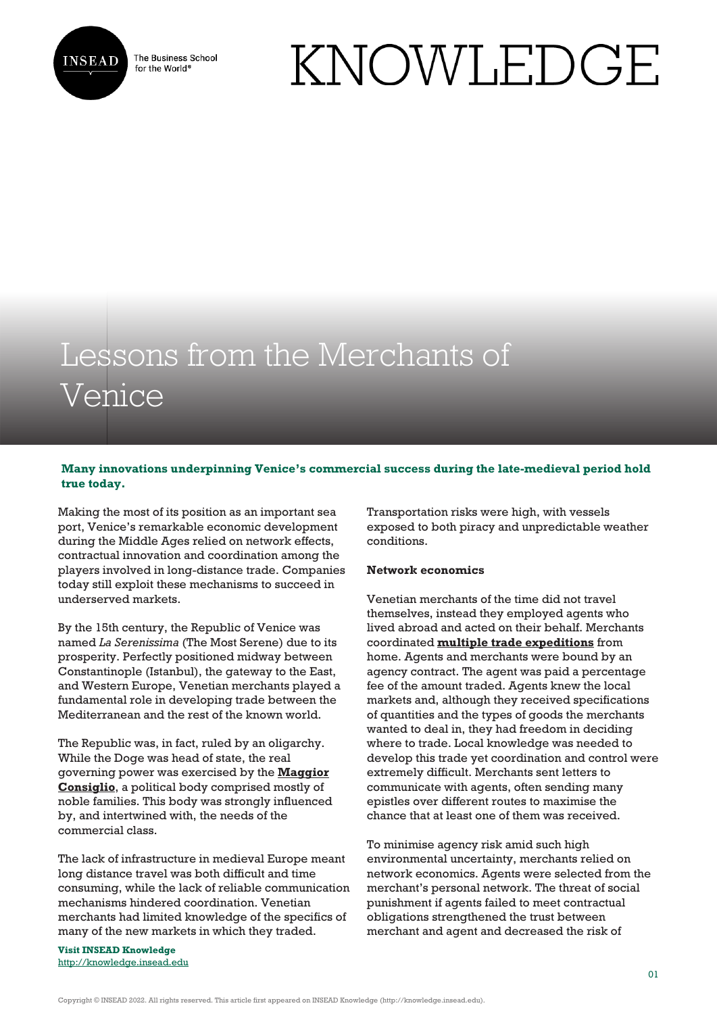

The Business School for the World<sup>®</sup>

# KNOWLEDGE

## Lessons from the Merchants of Venice

### **Many innovations underpinning Venice's commercial success during the late-medieval period hold true today.**

Making the most of its position as an important sea port, Venice's remarkable economic development during the Middle Ages relied on network effects, contractual innovation and coordination among the players involved in long-distance trade. Companies today still exploit these mechanisms to succeed in underserved markets.

By the 15th century, the Republic of Venice was named *La Serenissima* (The Most Serene) due to its prosperity. Perfectly positioned midway between Constantinople (Istanbul), the gateway to the East, and Western Europe, Venetian merchants played a fundamental role in developing trade between the Mediterranean and the rest of the known world.

The Republic was, in fact, ruled by an oligarchy. While the Doge was head of state, the real governing power was exercised by the **[Maggior](http://quod.lib.umich.edu/cgi/t/text/text-idx?c=acls;idno=heb00964) [Consiglio](http://quod.lib.umich.edu/cgi/t/text/text-idx?c=acls;idno=heb00964)**, a political body comprised mostly of noble families. This body was strongly influenced by, and intertwined with, the needs of the commercial class.

The lack of infrastructure in medieval Europe meant long distance travel was both difficult and time consuming, while the lack of reliable communication mechanisms hindered coordination. Venetian merchants had limited knowledge of the specifics of many of the new markets in which they traded.

**Visit INSEAD Knowledge** <http://knowledge.insead.edu> Transportation risks were high, with vessels exposed to both piracy and unpredictable weather conditions.

#### **Network economics**

Venetian merchants of the time did not travel themselves, instead they employed agents who lived abroad and acted on their behalf. Merchants coordinated **[multiple trade expeditions](https://www.viasarfatti25.unibocconi.eu/notizia.php?idArt=17905)** from home. Agents and merchants were bound by an agency contract. The agent was paid a percentage fee of the amount traded. Agents knew the local markets and, although they received specifications of quantities and the types of goods the merchants wanted to deal in, they had freedom in deciding where to trade. Local knowledge was needed to develop this trade yet coordination and control were extremely difficult. Merchants sent letters to communicate with agents, often sending many epistles over different routes to maximise the chance that at least one of them was received.

To minimise agency risk amid such high environmental uncertainty, merchants relied on network economics. Agents were selected from the merchant's personal network. The threat of social punishment if agents failed to meet contractual obligations strengthened the trust between merchant and agent and decreased the risk of

Copyright © INSEAD 2022. All rights reserved. This article first appeared on INSEAD Knowledge (http://knowledge.insead.edu).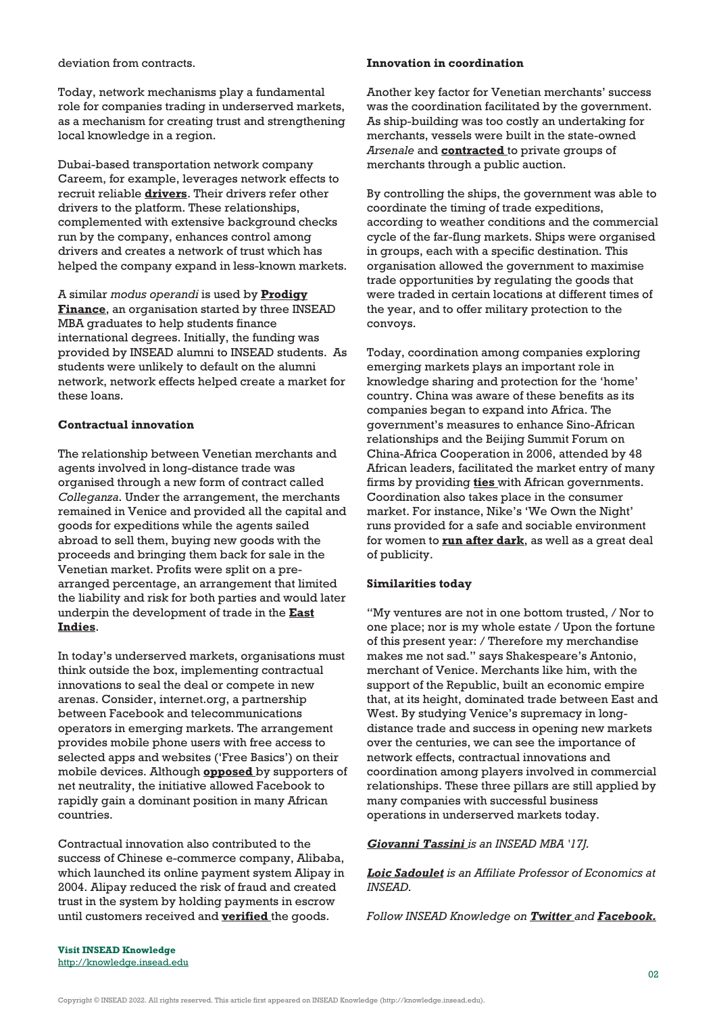deviation from contracts.

Today, network mechanisms play a fundamental role for companies trading in underserved markets, as a mechanism for creating trust and strengthening local knowledge in a region.

Dubai-based transportation network company Careem, for example, leverages network effects to recruit reliable **[drivers](https://drive.careempartner.com/sg/)**. Their drivers refer other drivers to the platform. These relationships, complemented with extensive background checks run by the company, enhances control among drivers and creates a network of trust which has helped the company expand in less-known markets.

A similar *modus operandi* is used by **[Prodigy](https://prodigyfinance.com/about-us) [Finance](https://prodigyfinance.com/about-us)**, an organisation started by three INSEAD MBA graduates to help students finance international degrees. Initially, the funding was provided by INSEAD alumni to INSEAD students. As students were unlikely to default on the alumni network, network effects helped create a market for these loans.

#### **Contractual innovation**

The relationship between Venetian merchants and agents involved in long-distance trade was organised through a new form of contract called *Colleganza*. Under the arrangement, the merchants remained in Venice and provided all the capital and goods for expeditions while the agents sailed abroad to sell them, buying new goods with the proceeds and bringing them back for sale in the Venetian market. Profits were split on a prearranged percentage, an arrangement that limited the liability and risk for both parties and would later underpin the development of trade in the **[East](http://tuvalu.santafe.edu/~bowles/venice_SantaFe_2015.pdf) [Indies](http://tuvalu.santafe.edu/~bowles/venice_SantaFe_2015.pdf)**.

In today's underserved markets, organisations must think outside the box, implementing contractual innovations to seal the deal or compete in new arenas. Consider, internet.org, a partnership between Facebook and telecommunications operators in emerging markets. The arrangement provides mobile phone users with free access to selected apps and websites ('Free Basics') on their mobile devices. Although **[opposed](http://www.bbc.com/news/technology-35522899)** by supporters of net neutrality, the initiative allowed Facebook to rapidly gain a dominant position in many African countries.

Contractual innovation also contributed to the success of Chinese e-commerce company, Alibaba, which launched its online payment system Alipay in 2004. Alipay reduced the risk of fraud and created trust in the system by holding payments in escrow until customers received and **[verified](https://www.forbes.com/sites/anaswanson/2014/09/23/what-india-could-learn-from-alibaba/#696dcf2440a3)** the goods.

#### **Innovation in coordination**

Another key factor for Venetian merchants' success was the coordination facilitated by the government. As ship-building was too costly an undertaking for merchants, vessels were built in the state-owned *Arsenale* and **[contracted](https://www.bookdepository.com/Venetian-Ships-Shipbuilders-Renaissance-Frederic-Chapin-Lane/9780801845147)** to private groups of merchants through a public auction.

By controlling the ships, the government was able to coordinate the timing of trade expeditions, according to weather conditions and the commercial cycle of the far-flung markets. Ships were organised in groups, each with a specific destination. This organisation allowed the government to maximise trade opportunities by regulating the goods that were traded in certain locations at different times of the year, and to offer military protection to the convoys.

Today, coordination among companies exploring emerging markets plays an important role in knowledge sharing and protection for the 'home' country. China was aware of these benefits as its companies began to expand into Africa. The government's measures to enhance Sino-African relationships and the Beijing Summit Forum on China-Africa Cooperation in 2006, attended by 48 African leaders, facilitated the market entry of many firms by providing **[ties](http://www.focac.org/eng/ltda/dscbzjhy/DOC32009/t280369.htm)** with African governments. Coordination also takes place in the consumer market. For instance, Nike's 'We Own the Night' runs provided for a safe and sociable environment for women to **[run after dark](http://news.nike.com/we-own-the-night)**, as well as a great deal of publicity.

#### **Similarities today**

"My ventures are not in one bottom trusted, / Nor to one place; nor is my whole estate / Upon the fortune of this present year: / Therefore my merchandise makes me not sad." says Shakespeare's Antonio, merchant of Venice. Merchants like him, with the support of the Republic, built an economic empire that, at its height, dominated trade between East and West. By studying Venice's supremacy in longdistance trade and success in opening new markets over the centuries, we can see the importance of network effects, contractual innovations and coordination among players involved in commercial relationships. These three pillars are still applied by many companies with successful business operations in underserved markets today.

#### *[Giovanni Tassini](https://knowledge.insead.edu/users/gtassini) is an INSEAD MBA '17J.*

*[Loic Sadoulet](https://knowledge.insead.edu/users/loicsa) is an Affiliate Professor of Economics at INSEAD.*

*Follow INSEAD Knowledge on [Twitter](http://www.twitter.com/inseadknowledge) and [Facebook.](http://www.facebook.com/Knowledge.insead)*

**Visit INSEAD Knowledge** <http://knowledge.insead.edu>

Copyright © INSEAD 2022. All rights reserved. This article first appeared on INSEAD Knowledge (http://knowledge.insead.edu).